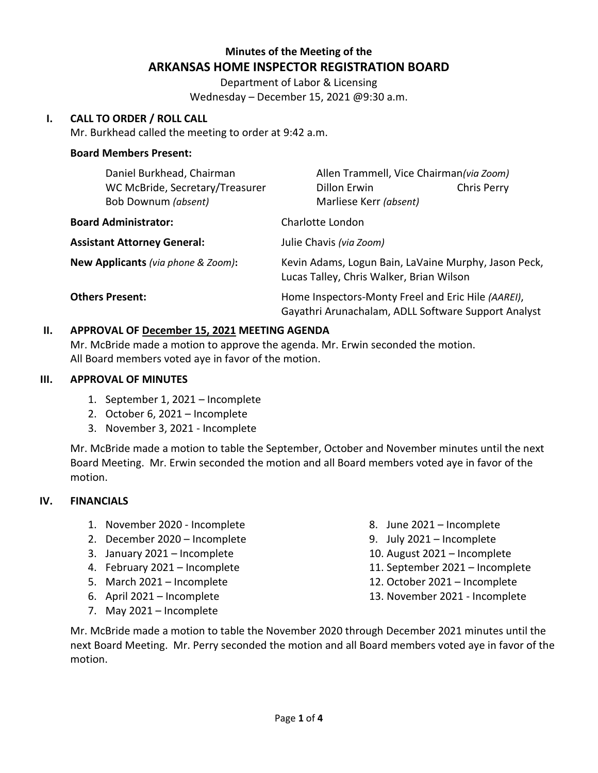# **Minutes of the Meeting of the ARKANSAS HOME INSPECTOR REGISTRATION BOARD**

Department of Labor & Licensing Wednesday – December 15, 2021 @9:30 a.m.

### **I. CALL TO ORDER / ROLL CALL**

Mr. Burkhead called the meeting to order at 9:42 a.m.

### **Board Members Present:**

| Daniel Burkhead, Chairman                              | Allen Trammell, Vice Chairman(via Zoom)                                                                   |  |
|--------------------------------------------------------|-----------------------------------------------------------------------------------------------------------|--|
| WC McBride, Secretary/Treasurer<br>Bob Downum (absent) | Dillon Erwin<br>Chris Perry<br>Marliese Kerr (absent)                                                     |  |
| <b>Board Administrator:</b>                            | Charlotte London                                                                                          |  |
| <b>Assistant Attorney General:</b>                     | Julie Chavis (via Zoom)                                                                                   |  |
| New Applicants (via phone & Zoom):                     | Kevin Adams, Logun Bain, LaVaine Murphy, Jason Peck,<br>Lucas Talley, Chris Walker, Brian Wilson          |  |
| <b>Others Present:</b>                                 | Home Inspectors-Monty Freel and Eric Hile (AAREI),<br>Gayathri Arunachalam, ADLL Software Support Analyst |  |

### **II. APPROVAL OF December 15, 2021 MEETING AGENDA**

Mr. McBride made a motion to approve the agenda. Mr. Erwin seconded the motion. All Board members voted aye in favor of the motion.

### **III. APPROVAL OF MINUTES**

- 1. September 1, 2021 Incomplete
- 2. October 6, 2021 Incomplete
- 3. November 3, 2021 Incomplete

Mr. McBride made a motion to table the September, October and November minutes until the next Board Meeting. Mr. Erwin seconded the motion and all Board members voted aye in favor of the motion.

### **IV. FINANCIALS**

- 1. November 2020 Incomplete
- 2. December 2020 Incomplete
- 3. January 2021 Incomplete
- 4. February 2021 Incomplete
- 5. March 2021 Incomplete
- 6. April 2021 Incomplete
- 7. May 2021 Incomplete
- 8. June 2021 Incomplete
- 9. July 2021 Incomplete
- 10. August 2021 Incomplete
- 11. September 2021 Incomplete
- 12. October 2021 Incomplete
- 13. November 2021 Incomplete

Mr. McBride made a motion to table the November 2020 through December 2021 minutes until the next Board Meeting. Mr. Perry seconded the motion and all Board members voted aye in favor of the motion.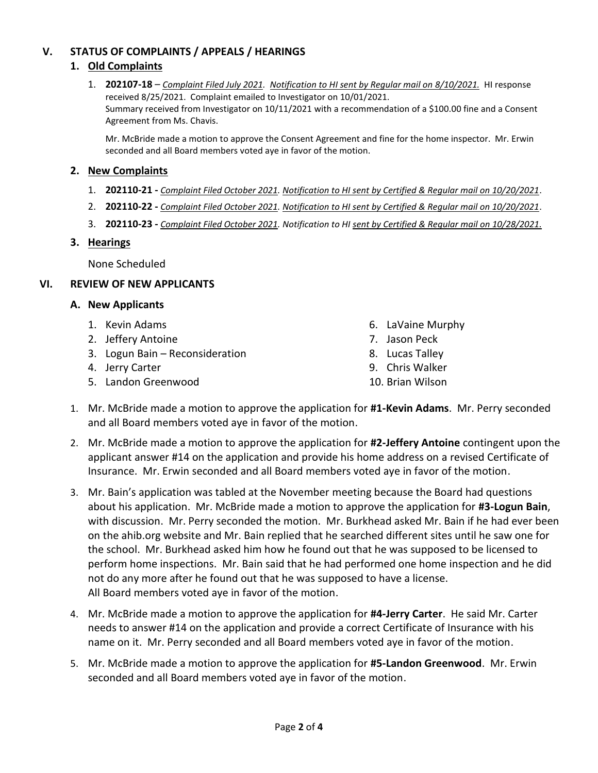## **V. STATUS OF COMPLAINTS / APPEALS / HEARINGS**

### **1. Old Complaints**

1. **202107-18** – *Complaint Filed July 2021. Notification to HI sent by Regular mail on 8/10/2021.* HI response received 8/25/2021. Complaint emailed to Investigator on 10/01/2021. Summary received from Investigator on 10/11/2021 with a recommendation of a \$100.00 fine and a Consent Agreement from Ms. Chavis.

Mr. McBride made a motion to approve the Consent Agreement and fine for the home inspector. Mr. Erwin seconded and all Board members voted aye in favor of the motion.

### **2. New Complaints**

- 1. **202110-21 -** *Complaint Filed October 2021. Notification to HI sent by Certified & Regular mail on 10/20/2021*.
- 2. **202110-22 -** *Complaint Filed October 2021. Notification to HI sent by Certified & Regular mail on 10/20/2021*.
- 3. **202110-23 -** *Complaint Filed October 2021. Notification to HI sent by Certified & Regular mail on 10/28/2021.*

### **3. Hearings**

None Scheduled

### **VI. REVIEW OF NEW APPLICANTS**

### **A. New Applicants**

- 1. Kevin Adams
- 2. Jeffery Antoine
- 3. Logun Bain Reconsideration
- 4. Jerry Carter
- 5. Landon Greenwood
- 6. LaVaine Murphy
- 7. Jason Peck
- 8. Lucas Talley
- 9. Chris Walker
- 10. Brian Wilson
- 1. Mr. McBride made a motion to approve the application for **#1-Kevin Adams**. Mr. Perry seconded and all Board members voted aye in favor of the motion.
- 2. Mr. McBride made a motion to approve the application for **#2-Jeffery Antoine** contingent upon the applicant answer #14 on the application and provide his home address on a revised Certificate of Insurance. Mr. Erwin seconded and all Board members voted aye in favor of the motion.
- 3. Mr. Bain's application was tabled at the November meeting because the Board had questions about his application. Mr. McBride made a motion to approve the application for **#3-Logun Bain**, with discussion. Mr. Perry seconded the motion. Mr. Burkhead asked Mr. Bain if he had ever been on the ahib.org website and Mr. Bain replied that he searched different sites until he saw one for the school. Mr. Burkhead asked him how he found out that he was supposed to be licensed to perform home inspections. Mr. Bain said that he had performed one home inspection and he did not do any more after he found out that he was supposed to have a license. All Board members voted aye in favor of the motion.
- 4. Mr. McBride made a motion to approve the application for **#4-Jerry Carter**. He said Mr. Carter needs to answer #14 on the application and provide a correct Certificate of Insurance with his name on it. Mr. Perry seconded and all Board members voted aye in favor of the motion.
- 5. Mr. McBride made a motion to approve the application for **#5-Landon Greenwood**. Mr. Erwin seconded and all Board members voted aye in favor of the motion.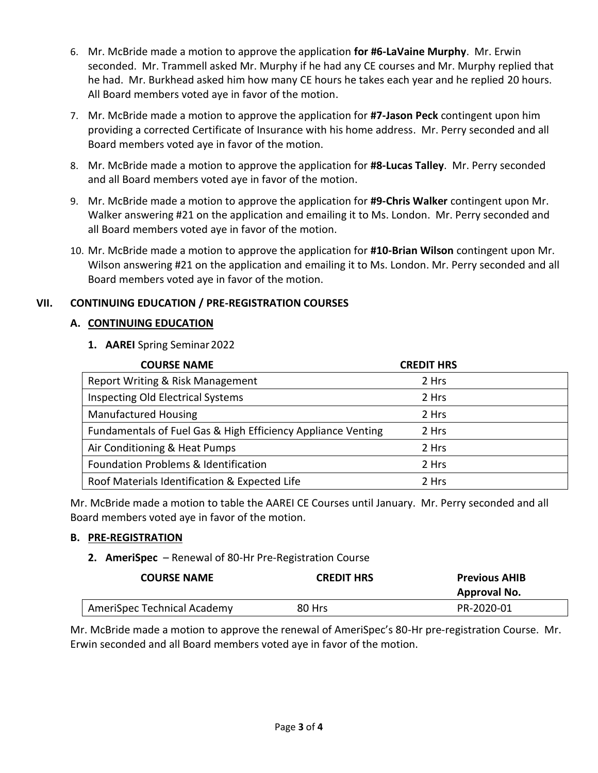- 6. Mr. McBride made a motion to approve the application **for #6-LaVaine Murphy**. Mr. Erwin seconded. Mr. Trammell asked Mr. Murphy if he had any CE courses and Mr. Murphy replied that he had. Mr. Burkhead asked him how many CE hours he takes each year and he replied 20 hours. All Board members voted aye in favor of the motion.
- 7. Mr. McBride made a motion to approve the application for **#7-Jason Peck** contingent upon him providing a corrected Certificate of Insurance with his home address. Mr. Perry seconded and all Board members voted aye in favor of the motion.
- 8. Mr. McBride made a motion to approve the application for **#8-Lucas Talley**. Mr. Perry seconded and all Board members voted aye in favor of the motion.
- 9. Mr. McBride made a motion to approve the application for **#9-Chris Walker** contingent upon Mr. Walker answering #21 on the application and emailing it to Ms. London. Mr. Perry seconded and all Board members voted aye in favor of the motion.
- 10. Mr. McBride made a motion to approve the application for **#10-Brian Wilson** contingent upon Mr. Wilson answering #21 on the application and emailing it to Ms. London. Mr. Perry seconded and all Board members voted aye in favor of the motion.

## **VII. CONTINUING EDUCATION / PRE-REGISTRATION COURSES**

## **A. CONTINUING EDUCATION**

**1. AAREI** Spring Seminar2022

| <b>COURSE NAME</b>                                           | <b>CREDIT HRS</b> |
|--------------------------------------------------------------|-------------------|
| Report Writing & Risk Management                             | 2 Hrs             |
| <b>Inspecting Old Electrical Systems</b>                     | 2 Hrs             |
| <b>Manufactured Housing</b>                                  | 2 Hrs             |
| Fundamentals of Fuel Gas & High Efficiency Appliance Venting | 2 Hrs             |
| Air Conditioning & Heat Pumps                                | 2 Hrs             |
| Foundation Problems & Identification                         | 2 Hrs             |
| Roof Materials Identification & Expected Life                | 2 Hrs             |

Mr. McBride made a motion to table the AAREI CE Courses until January. Mr. Perry seconded and all Board members voted aye in favor of the motion.

## **B. PRE-REGISTRATION**

## **2. AmeriSpec** – Renewal of 80-Hr Pre-Registration Course

| <b>COURSE NAME</b>          | <b>CREDIT HRS</b> | <b>Previous AHIB</b><br>Approval No. |
|-----------------------------|-------------------|--------------------------------------|
| AmeriSpec Technical Academy | 80 Hrs            | PR-2020-01                           |

Mr. McBride made a motion to approve the renewal of AmeriSpec's 80-Hr pre-registration Course. Mr. Erwin seconded and all Board members voted aye in favor of the motion.